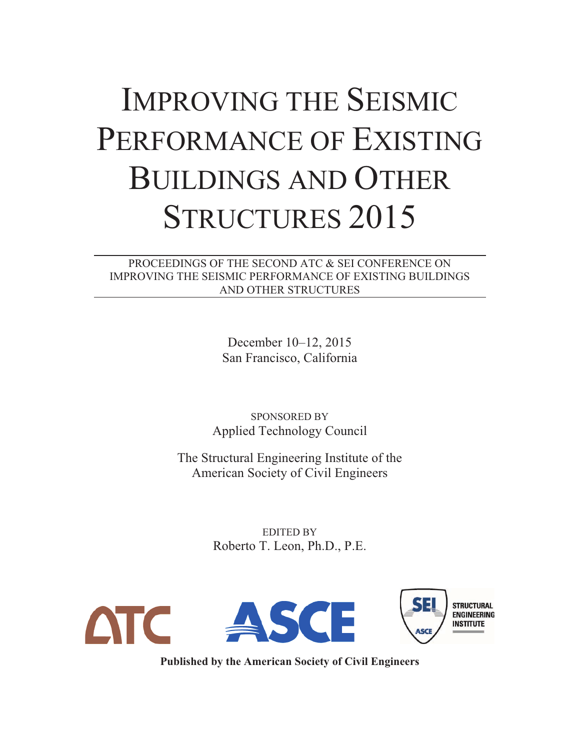# IMPROVING THE SEISMIC PERFORMANCE OF EXISTING BUILDINGS AND OTHER STRUCTURES 2015

PROCEEDINGS OF THE SECOND ATC & SEI CONFERENCE ON IMPROVING THE SEISMIC PERFORMANCE OF EXISTING BUILDINGS AND OTHER STRUCTURES

> December 10–12, 2015 San Francisco, California

SPONSORED BY Applied Technology Council

The Structural Engineering Institute of the American Society of Civil Engineers

> EDITED BY Roberto T. Leon, Ph.D., P.E.



**Published by the American Society of Civil Engineers**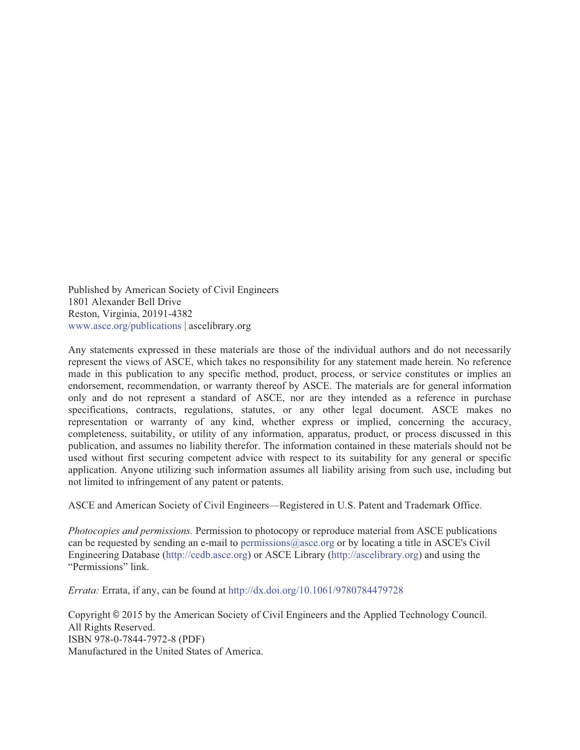Published by American Society of Civil Engineers 1801 Alexander Bell Drive Reston, Virginia, 20191-4382 www.asce.org/publications | ascelibrary.org

Any statements expressed in these materials are those of the individual authors and do not necessarily represent the views of ASCE, which takes no responsibility for any statement made herein. No reference made in this publication to any specific method, product, process, or service constitutes or implies an endorsement, recommendation, or warranty thereof by ASCE. The materials are for general information only and do not represent a standard of ASCE, nor are they intended as a reference in purchase specifications, contracts, regulations, statutes, or any other legal document. ASCE makes no representation or warranty of any kind, whether express or implied, concerning the accuracy, completeness, suitability, or utility of any information, apparatus, product, or process discussed in this publication, and assumes no liability therefor. The information contained in these materials should not be used without first securing competent advice with respect to its suitability for any general or specific application. Anyone utilizing such information assumes all liability arising from such use, including but not limited to infringement of any patent or patents.

ASCE and American Society of Civil Engineers—Registered in U.S. Patent and Trademark Office.

*Photocopies and permissions.* Permission to photocopy or reproduce material from ASCE publications can be requested by sending an e-mail to permissions@asce.org or by locating a title in ASCE's Civil Engineering Database (http://cedb.asce.org) or ASCE Library (http://ascelibrary.org) and using the "Permissions" link.

*Errata:* Errata, if any, can be found at http://dx.doi.org/10.1061/9780784479728

Copyright © 2015 by the American Society of Civil Engineers and the Applied Technology Council. All Rights Reserved. ISBN 978-0-7844-7972-8 (PDF) Manufactured in the United States of America.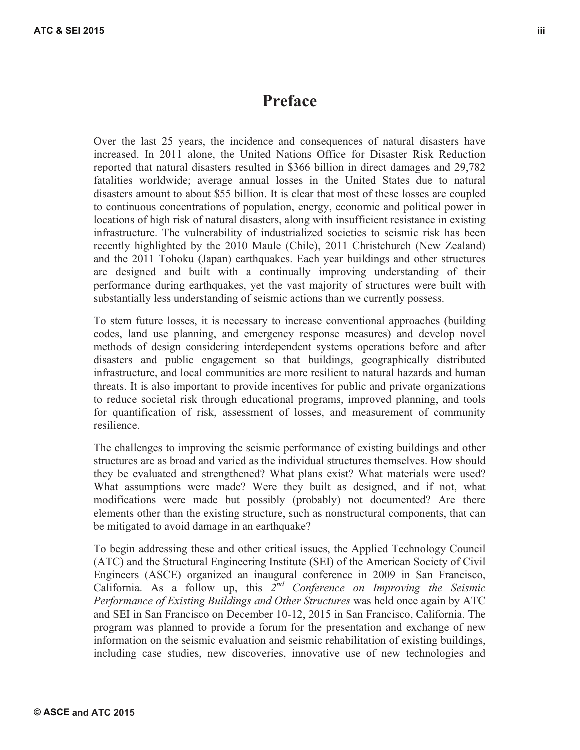#### **Preface**

Over the last 25 years, the incidence and consequences of natural disasters have increased. In 2011 alone, the United Nations Office for Disaster Risk Reduction reported that natural disasters resulted in \$366 billion in direct damages and 29,782 fatalities worldwide; average annual losses in the United States due to natural disasters amount to about \$55 billion. It is clear that most of these losses are coupled to continuous concentrations of population, energy, economic and political power in locations of high risk of natural disasters, along with insufficient resistance in existing infrastructure. The vulnerability of industrialized societies to seismic risk has been recently highlighted by the 2010 Maule (Chile), 2011 Christchurch (New Zealand) and the 2011 Tohoku (Japan) earthquakes. Each year buildings and other structures are designed and built with a continually improving understanding of their performance during earthquakes, yet the vast majority of structures were built with substantially less understanding of seismic actions than we currently possess.

To stem future losses, it is necessary to increase conventional approaches (building codes, land use planning, and emergency response measures) and develop novel methods of design considering interdependent systems operations before and after disasters and public engagement so that buildings, geographically distributed infrastructure, and local communities are more resilient to natural hazards and human threats. It is also important to provide incentives for public and private organizations to reduce societal risk through educational programs, improved planning, and tools for quantification of risk, assessment of losses, and measurement of community resilience.

The challenges to improving the seismic performance of existing buildings and other structures are as broad and varied as the individual structures themselves. How should they be evaluated and strengthened? What plans exist? What materials were used? What assumptions were made? Were they built as designed, and if not, what modifications were made but possibly (probably) not documented? Are there elements other than the existing structure, such as nonstructural components, that can be mitigated to avoid damage in an earthquake?

To begin addressing these and other critical issues, the Applied Technology Council (ATC) and the Structural Engineering Institute (SEI) of the American Society of Civil Engineers (ASCE) organized an inaugural conference in 2009 in San Francisco, California. As a follow up, this *2nd Conference on Improving the Seismic Performance of Existing Buildings and Other Structures* was held once again by ATC and SEI in San Francisco on December 10-12, 2015 in San Francisco, California. The program was planned to provide a forum for the presentation and exchange of new information on the seismic evaluation and seismic rehabilitation of existing buildings, including case studies, new discoveries, innovative use of new technologies and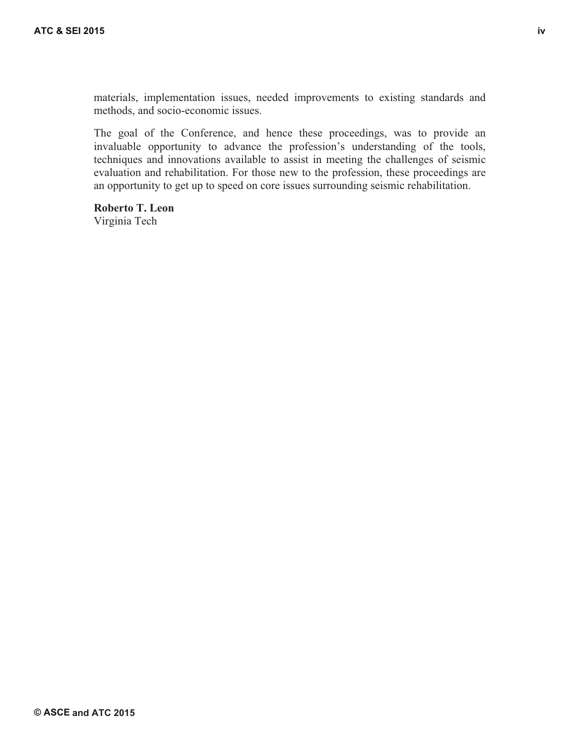materials, implementation issues, needed improvements to existing standards and methods, and socio-economic issues.

The goal of the Conference, and hence these proceedings, was to provide an invaluable opportunity to advance the profession's understanding of the tools, techniques and innovations available to assist in meeting the challenges of seismic evaluation and rehabilitation. For those new to the profession, these proceedings are an opportunity to get up to speed on core issues surrounding seismic rehabilitation.

**Roberto T. Leon**  Virginia Tech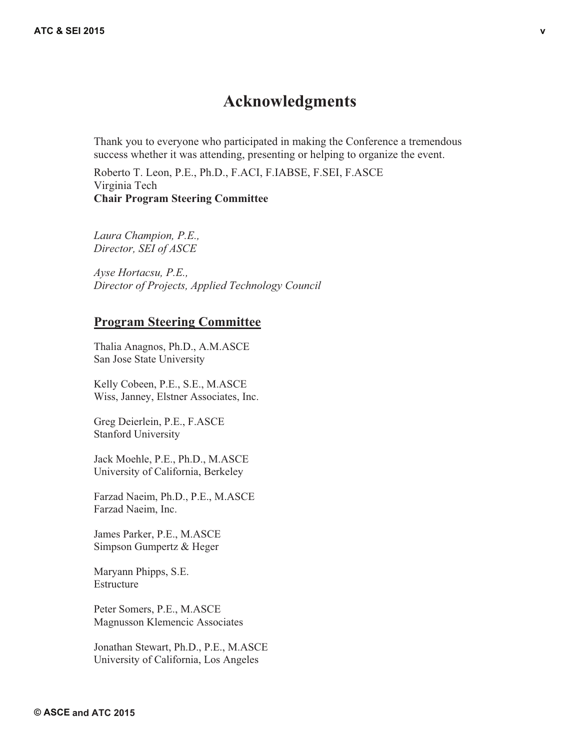#### **Acknowledgments**

Thank you to everyone who participated in making the Conference a tremendous success whether it was attending, presenting or helping to organize the event.

Roberto T. Leon, P.E., Ph.D., F.ACI, F.IABSE, F.SEI, F.ASCE Virginia Tech **Chair Program Steering Committee** 

*Laura Champion, P.E., Director, SEI of ASCE*

*Ayse Hortacsu, P.E., Director of Projects, Applied Technology Council* 

#### **Program Steering Committee**

Thalia Anagnos, Ph.D., A.M.ASCE San Jose State University

Kelly Cobeen, P.E., S.E., M.ASCE Wiss, Janney, Elstner Associates, Inc.

Greg Deierlein, P.E., F.ASCE Stanford University

Jack Moehle, P.E., Ph.D., M.ASCE University of California, Berkeley

Farzad Naeim, Ph.D., P.E., M.ASCE Farzad Naeim, Inc.

James Parker, P.E., M.ASCE Simpson Gumpertz & Heger

Maryann Phipps, S.E. Estructure

Peter Somers, P.E., M.ASCE Magnusson Klemencic Associates

Jonathan Stewart, Ph.D., P.E., M.ASCE University of California, Los Angeles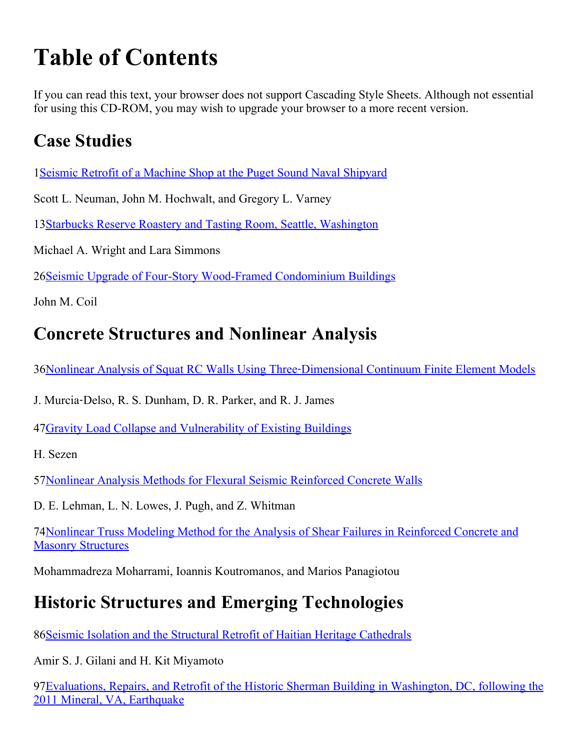## Table of Contents

If you can read this text, your browser does not support Cascading Style Sheets. Although not essential for using this CD-ROM, you may wish to upgrade your browser to a more recent version.

## Case Studies

1Seismic Retrofit of a Machine Shop at the Puget Sound Naval [Shipyard](file:///C:/Users/carrie/Desktop/papers/9780784479728.001.pdf#page=1)

Scott L. Neuman, John M. Hochwalt, and Gregory L. Varney

13Starbucks Reserve Roastery and Tasting Room, Seattle, [Washington](file:///C:/Users/carrie/Desktop/papers/9780784479728.002.pdf#page=1)

Michael A. Wright and Lara Simmons

26Seismic Upgrade of Four-Story Wood-Framed Condominium Buildings

John M. Coil

#### Concrete Structures and Nonlinear Analysis

36Nonlinear Analysis of Squat RC Walls Using Three‑[Dimensional](file:///C:/Users/carrie/Desktop/papers/9780784479728.004.pdf#page=1) Continuum Finite Element Models

J. Murcia‑Delso, R. S. Dunham, D. R. Parker, and R. J. James

47Gravity Load Collapse and [Vulnerability](file:///C:/Users/carrie/Desktop/papers/9780784479728.005.pdf#page=1) of Existing Buildings

H. Sezen

57Nonlinear Analysis Methods for Flexural Seismic [Reinforced](file:///C:/Users/carrie/Desktop/papers/9780784479728.006.pdf#page=1) Concrete Walls

D. E. Lehman, L. N. Lowes, J. Pugh, and Z. Whitman

[74Nonlinear](file:///C:/Users/carrie/Desktop/papers/9780784479728.007.pdf#page=1) Truss Modeling Method for the Analysis of Shear Failures in Reinforced Concrete and Masonry Structures

Mohammadreza Moharrami, Ioannis Koutromanos, and Marios Panagiotou

## Historic Structures and Emerging Technologies

86Seismic Isolation and the Structural Retrofit of Haitian Heritage [Cathedrals](file:///C:/Users/carrie/Desktop/papers/9780784479728.008.pdf#page=1)

Amir S. J. Gilani and H. Kit Miyamoto

[97Evaluations,](file:///C:/Users/carrie/Desktop/papers/9780784479728.009.pdf#page=1) Repairs, and Retrofit of the Historic Sherman Building in Washington, DC, following the 2011 Mineral, VA, Earthquake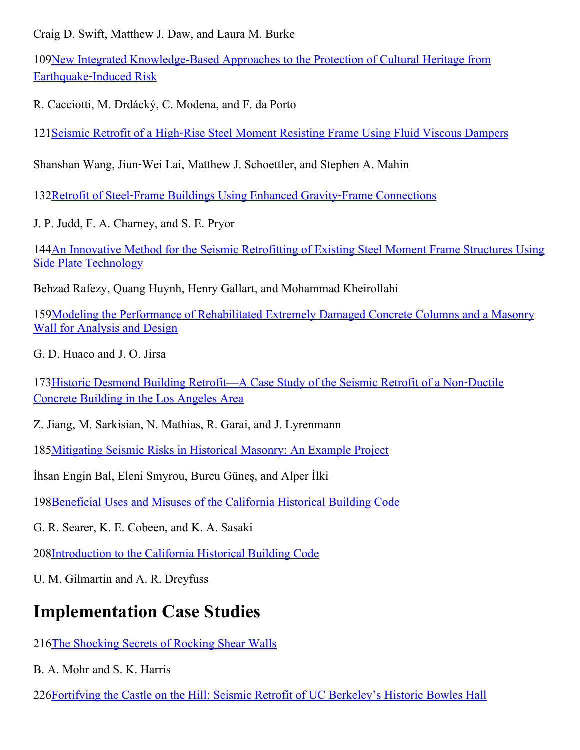Craig D. Swift, Matthew J. Daw, and Laura M. Burke

109New Integrated Knowledge-Based Approaches to the Protection of Cultural Heritage from Earthquake‑Induced Risk

R. Cacciotti, M. Drdácký, C. Modena, and F. da Porto

121 Seismic Retrofit of a High-Rise Steel Moment [Resisting](file:///C:/Users/carrie/Desktop/papers/9780784479728.011.pdf#page=1) Frame Using Fluid Viscous Dampers

Shanshan Wang, Jiun‑Wei Lai, Matthew J. Schoettler, and Stephen A. Mahin

132Retrofit of Steel‑Frame Buildings Using Enhanced Gravity‑Frame [Connections](file:///C:/Users/carrie/Desktop/papers/9780784479728.012.pdf#page=1)

J. P. Judd, F. A. Charney, and S. E. Pryor

144An Innovative Method for the Seismic [Retrofitting](file:///C:/Users/carrie/Desktop/papers/9780784479728.013.pdf#page=1) of Existing Steel Moment Frame Structures Using Side Plate Technology

Behzad Rafezy, Quang Huynh, Henry Gallart, and Mohammad Kheirollahi

[159Modeling](file:///C:/Users/carrie/Desktop/papers/9780784479728.014.pdf#page=1) the Performance of Rehabilitated Extremely Damaged Concrete Columns and a Masonry Wall for Analysis and Design

G. D. Huaco and J. O. Jirsa

173Historic Desmond Building [Retrofit—A](file:///C:/Users/carrie/Desktop/papers/9780784479728.015.pdf#page=1) Case Study of the Seismic Retrofit of a Non‑Ductile Concrete Building in the Los Angeles Area

Z. Jiang, M. Sarkisian, N. Mathias, R. Garai, and J. Lyrenmann

185[Mitigating](file:///C:/Users/carrie/Desktop/papers/9780784479728.016.pdf#page=1) Seismic Risks in Historical Masonry: An Example Project

İhsan Engin Bal, Eleni Smyrou, Burcu Güneş, and Alper İlki

198[Beneficial](file:///C:/Users/carrie/Desktop/papers/9780784479728.017.pdf#page=1) Uses and Misuses of the California Historical Building Code

G. R. Searer, K. E. Cobeen, and K. A. Sasaki

208[Introduction](file:///C:/Users/carrie/Desktop/papers/9780784479728.018.pdf#page=1) to the California Historical Building Code

U. M. Gilmartin and A. R. Dreyfuss

#### Implementation Case Studies

216The [Shocking](file:///C:/Users/carrie/Desktop/papers/9780784479728.019.pdf#page=1) Secrets of Rocking Shear Walls

B. A. Mohr and S. K. Harris

226Fortifying the Castle on the Hill: Seismic Retrofit of UC [Berkeley's](file:///C:/Users/carrie/Desktop/papers/9780784479728.020.pdf#page=1) Historic Bowles Hall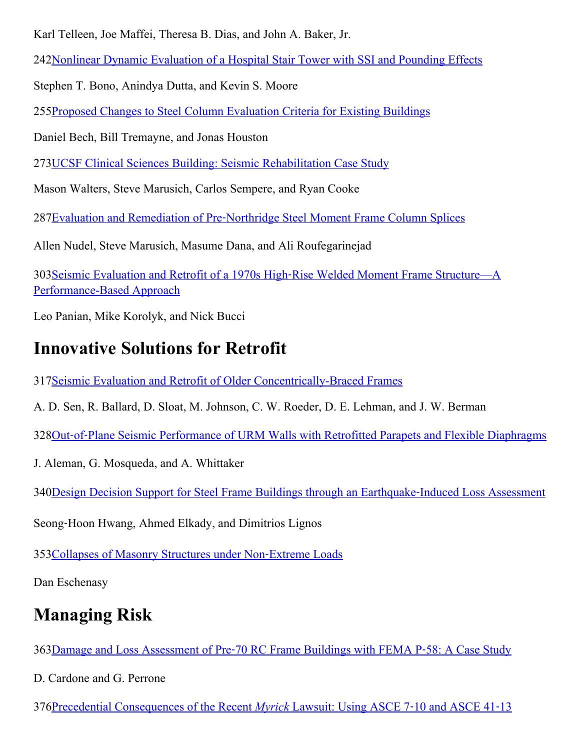Karl Telleen, Joe Maffei, Theresa B. Dias, and John A. Baker, Jr.

242Nonlinear Dynamic [Evaluation](file:///C:/Users/carrie/Desktop/papers/9780784479728.021.pdf#page=1) of a Hospital Stair Tower with SSI and Pounding Effects

Stephen T. Bono, Anindya Dutta, and Kevin S. Moore

255Proposed Changes to Steel Column [Evaluation](file:///C:/Users/carrie/Desktop/papers/9780784479728.022.pdf#page=1) Criteria for Existing Buildings

Daniel Bech, Bill Tremayne, and Jonas Houston

273UCSF Clinical Sciences Building: Seismic [Rehabilitation](file:///C:/Users/carrie/Desktop/papers/9780784479728.023.pdf#page=1) Case Study

Mason Walters, Steve Marusich, Carlos Sempere, and Ryan Cooke

287Evaluation and [Remediation](file:///C:/Users/carrie/Desktop/papers/9780784479728.024.pdf#page=1) of Pre‑Northridge Steel Moment Frame Column Splices

Allen Nudel, Steve Marusich, Masume Dana, and Ali Roufegarinejad

303Seismic Evaluation and Retrofit of a 1970s High‑Rise Welded Moment Frame Structure––A Performance-Based Approach

Leo Panian, Mike Korolyk, and Nick Bucci

#### Innovative Solutions for Retrofit

317 Seismic Evaluation and Retrofit of Older Concentrically-Braced Frames

A. D. Sen, R. Ballard, D. Sloat, M. Johnson, C. W. Roeder, D. E. Lehman, and J. W. Berman

328Out-of-Plane Seismic [Performance](file:///C:/Users/carrie/Desktop/papers/9780784479728.027.pdf#page=1) of URM Walls with Retrofitted Parapets and Flexible Diaphragms

J. Aleman, G. Mosqueda, and A. Whittaker

340 Design Decision Support for Steel Frame Buildings through an Earthquake-Induced Loss [Assessment](file:///C:/Users/carrie/Desktop/papers/9780784479728.028.pdf#page=1)

Seong‑Hoon Hwang, Ahmed Elkady, and Dimitrios Lignos

353Collapses of Masonry [Structures](file:///C:/Users/carrie/Desktop/papers/9780784479728.029.pdf#page=1) under Non‑Extreme Loads

Dan Eschenasy

## Managing Risk

363Damage and Loss [Assessment](file:///C:/Users/carrie/Desktop/papers/9780784479728.030.pdf#page=1) of Pre-70 RC Frame Buildings with FEMA P-58: A Case Study

D. Cardone and G. Perrone

[376Precedential](file:///C:/Users/carrie/Desktop/papers/9780784479728.031.pdf#page=1) Consequences of the Recent *Myrick* Lawsuit: Using ASCE 7-10 and ASCE 41-13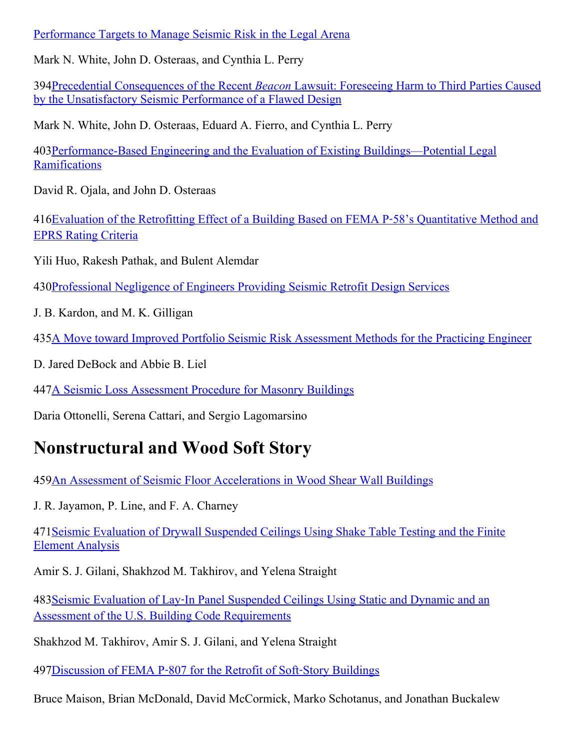[Performance](file:///C:/Users/carrie/Desktop/papers/9780784479728.031.pdf#page=1) Targets to Manage Seismic Risk in the Legal Arena

Mark N. White, John D. Osteraas, and Cynthia L. Perry

[394Precedential](file:///C:/Users/carrie/Desktop/papers/9780784479728.032.pdf#page=1) Consequences of the Recent Beacon Lawsuit: Foreseeing Harm to Third Parties Caused by the Unsatisfactory Seismic Performance of a Flawed Design

Mark N. White, John D. Osteraas, Eduard A. Fierro, and Cynthia L. Perry

403Performance-Based Engineering and the Evaluation of Existing Buildings—Potential Legal **Ramifications** 

David R. Ojala, and John D. Osteraas

[416Evaluation](file:///C:/Users/carrie/Desktop/papers/9780784479728.034.pdf#page=1) of the Retrofitting Effect of a Building Based on FEMA P‑58's Quantitative Method and EPRS Rating Criteria

Yili Huo, Rakesh Pathak, and Bulent Alemdar

430[Professional](file:///C:/Users/carrie/Desktop/papers/9780784479728.035.pdf#page=1) Negligence of Engineers Providing Seismic Retrofit Design Services

J. B. Kardon, and M. K. Gilligan

435A Move toward Improved Portfolio Seismic Risk [Assessment](file:///C:/Users/carrie/Desktop/papers/9780784479728.036.pdf#page=1) Methods for the Practicing Engineer

D. Jared DeBock and Abbie B. Liel

447A Seismic Loss [Assessment](file:///C:/Users/carrie/Desktop/papers/9780784479728.037.pdf#page=1) Procedure for Masonry Buildings

Daria Ottonelli, Serena Cattari, and Sergio Lagomarsino

#### Nonstructural and Wood Soft Story

459An Assessment of Seismic Floor [Accelerations](file:///C:/Users/carrie/Desktop/papers/9780784479728.038.pdf#page=1) in Wood Shear Wall Buildings

J. R. Jayamon, P. Line, and F. A. Charney

[471Seismic](file:///C:/Users/carrie/Desktop/papers/9780784479728.039.pdf#page=1) Evaluation of Drywall Suspended Ceilings Using Shake Table Testing and the Finite Element Analysis

Amir S. J. Gilani, Shakhzod M. Takhirov, and Yelena Straight

483Seismic Evaluation of Lay‑In Panel Suspended Ceilings Using Static and Dynamic and an Assessment of the U.S. Building Code [Requirements](file:///C:/Users/carrie/Desktop/papers/9780784479728.040.pdf#page=1)

Shakhzod M. Takhirov, Amir S. J. Gilani, and Yelena Straight

497 [Discussion](file:///C:/Users/carrie/Desktop/papers/9780784479728.041.pdf#page=1) of FEMA P-807 for the Retrofit of Soft-Story Buildings

Bruce Maison, Brian McDonald, David McCormick, Marko Schotanus, and Jonathan Buckalew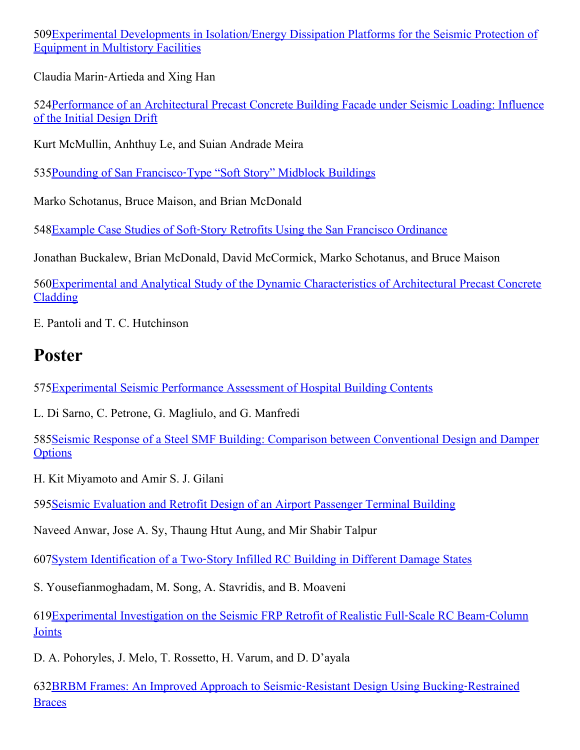[509Experimental](file:///C:/Users/carrie/Desktop/papers/9780784479728.042.pdf#page=1) Developments in Isolation/Energy Dissipation Platforms for the Seismic Protection of Equipment in Multistory Facilities

Claudia Marin‑Artieda and Xing Han

[524Performance](file:///C:/Users/carrie/Desktop/papers/9780784479728.043.pdf#page=1) of an Architectural Precast Concrete Building Facade under Seismic Loading: Influence of the Initial Design Drift

Kurt McMullin, Anhthuy Le, and Suian Andrade Meira

535Pounding of San Francisco‑Type "Soft Story" Midblock [Buildings](file:///C:/Users/carrie/Desktop/papers/9780784479728.044.pdf#page=1)

Marko Schotanus, Bruce Maison, and Brian McDonald

548Example Case Studies of Soft‑Story Retrofits Using the San Francisco [Ordinance](file:///C:/Users/carrie/Desktop/papers/9780784479728.045.pdf#page=1)

Jonathan Buckalew, Brian McDonald, David McCormick, Marko Schotanus, and Bruce Maison

[560Experimental](file:///C:/Users/carrie/Desktop/papers/9780784479728.046.pdf#page=1) and Analytical Study of the Dynamic Characteristics of Architectural Precast Concrete Cladding

E. Pantoli and T. C. Hutchinson

#### Poster

575[Experimental](file:///C:/Users/carrie/Desktop/papers/9780784479728.047.pdf#page=1) Seismic Performance Assessment of Hospital Building Contents

L. Di Sarno, C. Petrone, G. Magliulo, and G. Manfredi

585Seismic Response of a Steel SMF Building: Comparison between [Conventional](file:///C:/Users/carrie/Desktop/papers/9780784479728.048.pdf#page=1) Design and Damper **Options** 

H. Kit Miyamoto and Amir S. J. Gilani

595Seismic [Evaluation](file:///C:/Users/carrie/Desktop/papers/9780784479728.049.pdf#page=1) and Retrofit Design of an Airport Passenger Terminal Building

Naveed Anwar, Jose A. Sy, Thaung Htut Aung, and Mir Shabir Talpur

607System [Identification](file:///C:/Users/carrie/Desktop/papers/9780784479728.050.pdf#page=1) of a Two‑Story Infilled RC Building in Different Damage States

S. Yousefianmoghadam, M. Song, A. Stavridis, and B. Moaveni

[619Experimental](file:///C:/Users/carrie/Desktop/papers/9780784479728.051.pdf#page=1) Investigation on the Seismic FRP Retrofit of Realistic Full‑Scale RC Beam‑Column Joints

D. A. Pohoryles, J. Melo, T. Rossetto, H. Varum, and D. D'ayala

[632BRBM](file:///C:/Users/carrie/Desktop/papers/9780784479728.052.pdf#page=1) Frames: An Improved Approach to Seismic‑Resistant Design Using Bucking‑Restrained **Braces**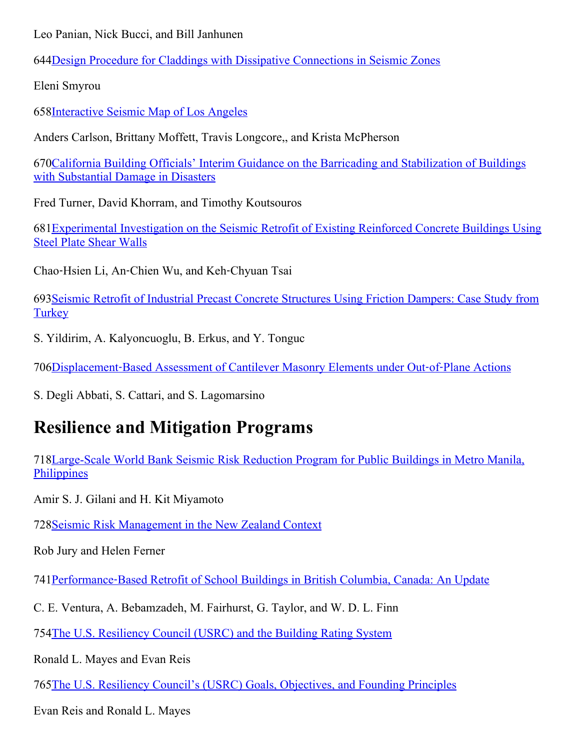Leo Panian, Nick Bucci, and Bill Janhunen

644Design Procedure for Claddings with Dissipative [Connections](file:///C:/Users/carrie/Desktop/papers/9780784479728.053.pdf#page=1) in Seismic Zones

Eleni Smyrou

658[Interactive](file:///C:/Users/carrie/Desktop/papers/9780784479728.054.pdf#page=1) Seismic Map of Los Angeles

Anders Carlson, Brittany Moffett, Travis Longcore,, and Krista McPherson

[670California](file:///C:/Users/carrie/Desktop/papers/9780784479728.055.pdf#page=1) Building Officials' Interim Guidance on the Barricading and Stabilization of Buildings with Substantial Damage in Disasters

Fred Turner, David Khorram, and Timothy Koutsouros

[681Experimental](file:///C:/Users/carrie/Desktop/papers/9780784479728.056.pdf#page=1) Investigation on the Seismic Retrofit of Existing Reinforced Concrete Buildings Using Steel Plate Shear Walls

Chao‑Hsien Li, An‑Chien Wu, and Keh‑Chyuan Tsai

[693Seismic](file:///C:/Users/carrie/Desktop/papers/9780784479728.057.pdf#page=1) Retrofit of Industrial Precast Concrete Structures Using Friction Dampers: Case Study from **Turkey** 

S. Yildirim, A. Kalyoncuoglu, B. Erkus, and Y. Tonguc

706[Displacement](file:///C:/Users/carrie/Desktop/papers/9780784479728.058.pdf#page=1)‑Based Assessment of Cantilever Masonry Elements under Out‑of‑Plane Actions

S. Degli Abbati, S. Cattari, and S. Lagomarsino

#### Resilience and Mitigation Programs

718Large-Scale World Bank Seismic Risk Reduction Program for Public Buildings in Metro Manila, **Philippines** 

Amir S. J. Gilani and H. Kit Miyamoto

728Seismic Risk [Management](file:///C:/Users/carrie/Desktop/papers/9780784479728.060.pdf#page=1) in the New Zealand Context

Rob Jury and Helen Ferner

741[Performance](file:///C:/Users/carrie/Desktop/papers/9780784479728.061.pdf#page=1)‑Based Retrofit of School Buildings in British Columbia, Canada: An Update

C. E. Ventura, A. Bebamzadeh, M. Fairhurst, G. Taylor, and W. D. L. Finn

754The U.S. [Resiliency](file:///C:/Users/carrie/Desktop/papers/9780784479728.062.pdf#page=1) Council (USRC) and the Building Rating System

Ronald L. Mayes and Evan Reis

765The U.S. Resiliency Council's (USRC) Goals, [Objectives,](file:///C:/Users/carrie/Desktop/papers/9780784479728.063.pdf#page=1) and Founding Principles

Evan Reis and Ronald L. Mayes